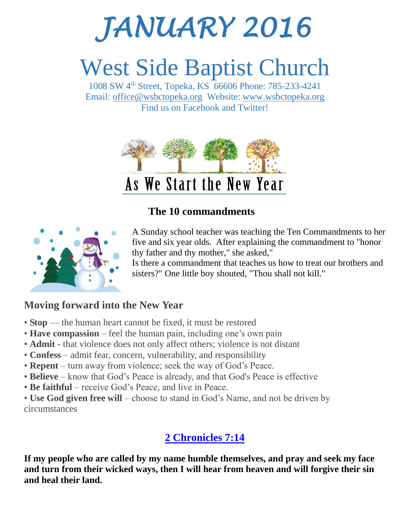# *JANUARY 2016*

## West Side Baptist Church

1008 SW 4th Street, Topeka, KS 66606 Phone: 785-233-4241 Email: [office@wsbctopeka.org](mailto:office@wsbctopeka.org) Website: [www.wsbctopeka.org](http://www.wsbctopeka.org/)  Find us on Facebook and Twitter!



#### **The 10 commandments**



A Sunday school teacher was teaching the Ten Commandments to her five and six year olds. After explaining the commandment to "honor thy father and thy mother," she asked,"

Is there a commandment that teaches us how to treat our brothers and sisters?" One little boy shouted, "Thou shall not kill."

#### **Moving forward into the New Year**

- **Stop** the human heart cannot be fixed, it must be restored
- **Have compassion** feel the human pain, including one's own pain
- **Admit** that violence does not only affect others; violence is not distant
- **Confess** admit fear, concern, vulnerability, and responsibility
- **Repent** turn away from violence; seek the way of God's Peace.
- **Believe** know that God's Peace is already, and that God's Peace is effective
- **Be faithful** receive God's Peace, and live in Peace.
- **Use God given free will** choose to stand in God's Name, and not be driven by circumstances

#### **[2 Chronicles 7:14](http://www.biblegateway.com/passage/?search=2+Chronicles+7%3A14&version=ESV)**

**If my people who are called by my name humble themselves, and pray and seek my face and turn from their wicked ways, then I will hear from heaven and will forgive their sin and heal their land.**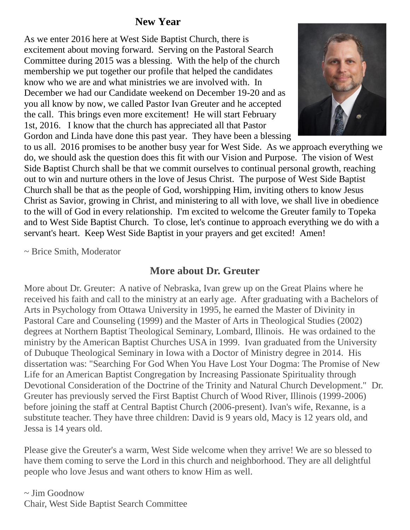#### **New Year**

As we enter 2016 here at West Side Baptist Church, there is excitement about moving forward. Serving on the Pastoral Search Committee during 2015 was a blessing. With the help of the church membership we put together our profile that helped the candidates know who we are and what ministries we are involved with. In December we had our Candidate weekend on December 19-20 and as you all know by now, we called Pastor Ivan Greuter and he accepted the call. This brings even more excitement! He will start February 1st, 2016. I know that the church has appreciated all that Pastor Gordon and Linda have done this past year. They have been a blessing



to us all. 2016 promises to be another busy year for West Side. As we approach everything we do, we should ask the question does this fit with our Vision and Purpose. The vision of West Side Baptist Church shall be that we commit ourselves to continual personal growth, reaching out to win and nurture others in the love of Jesus Christ. The purpose of West Side Baptist Church shall be that as the people of God, worshipping Him, inviting others to know Jesus Christ as Savior, growing in Christ, and ministering to all with love, we shall live in obedience to the will of God in every relationship. I'm excited to welcome the Greuter family to Topeka and to West Side Baptist Church. To close, let's continue to approach everything we do with a servant's heart. Keep West Side Baptist in your prayers and get excited! Amen!

~ Brice Smith, Moderator

#### **More about Dr. Greuter**

More about Dr. Greuter: A native of Nebraska, Ivan grew up on the Great Plains where he received his faith and call to the ministry at an early age. After graduating with a Bachelors of Arts in Psychology from Ottawa University in 1995, he earned the Master of Divinity in Pastoral Care and Counseling (1999) and the Master of Arts in Theological Studies (2002) degrees at Northern Baptist Theological Seminary, Lombard, Illinois. He was ordained to the ministry by the American Baptist Churches USA in 1999. Ivan graduated from the University of Dubuque Theological Seminary in Iowa with a Doctor of Ministry degree in 2014. His dissertation was: "Searching For God When You Have Lost Your Dogma: The Promise of New Life for an American Baptist Congregation by Increasing Passionate Spirituality through Devotional Consideration of the Doctrine of the Trinity and Natural Church Development." Dr. Greuter has previously served the First Baptist Church of Wood River, Illinois (1999-2006) before joining the staff at Central Baptist Church (2006-present). Ivan's wife, Rexanne, is a substitute teacher. They have three children: David is 9 years old, Macy is 12 years old, and Jessa is 14 years old.

Please give the Greuter's a warm, West Side welcome when they arrive! We are so blessed to have them coming to serve the Lord in this church and neighborhood. They are all delightful people who love Jesus and want others to know Him as well.

 $\sim$  Jim Goodnow Chair, West Side Baptist Search Committee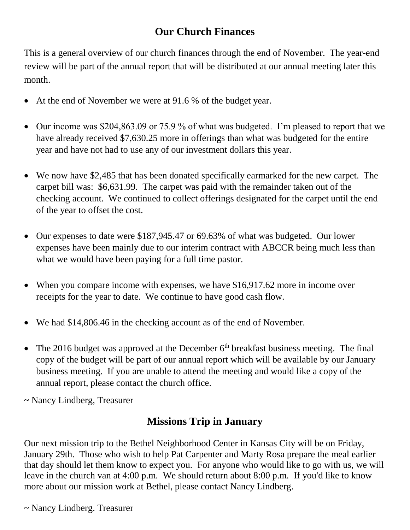#### **Our Church Finances**

This is a general overview of our church finances through the end of November. The year-end review will be part of the annual report that will be distributed at our annual meeting later this month.

- At the end of November we were at 91.6 % of the budget year.
- Our income was \$204,863.09 or 75.9 % of what was budgeted. I'm pleased to report that we have already received \$7,630.25 more in offerings than what was budgeted for the entire year and have not had to use any of our investment dollars this year.
- We now have \$2,485 that has been donated specifically earmarked for the new carpet. The carpet bill was: \$6,631.99. The carpet was paid with the remainder taken out of the checking account. We continued to collect offerings designated for the carpet until the end of the year to offset the cost.
- Our expenses to date were \$187,945.47 or 69.63% of what was budgeted. Our lower expenses have been mainly due to our interim contract with ABCCR being much less than what we would have been paying for a full time pastor.
- When you compare income with expenses, we have \$16,917.62 more in income over receipts for the year to date. We continue to have good cash flow.
- We had \$14,806.46 in the checking account as of the end of November.
- The 2016 budget was approved at the December  $6<sup>th</sup>$  breakfast business meeting. The final copy of the budget will be part of our annual report which will be available by our January business meeting. If you are unable to attend the meeting and would like a copy of the annual report, please contact the church office.
- ~ Nancy Lindberg, Treasurer

#### **Missions Trip in January**

Our next mission trip to the Bethel Neighborhood Center in Kansas City will be on Friday, January 29th. Those who wish to help Pat Carpenter and Marty Rosa prepare the meal earlier that day should let them know to expect you. For anyone who would like to go with us, we will leave in the church van at 4:00 p.m. We should return about 8:00 p.m. If you'd like to know more about our mission work at Bethel, please contact Nancy Lindberg.

~ Nancy Lindberg. Treasurer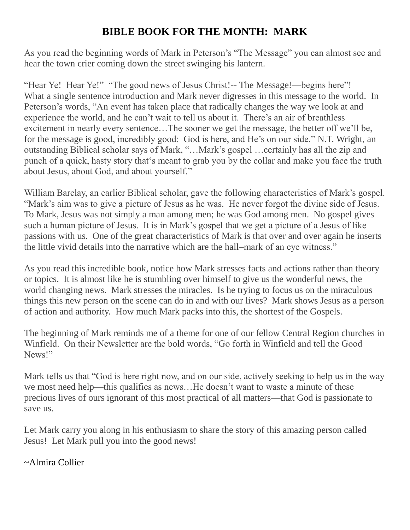#### **BIBLE BOOK FOR THE MONTH: MARK**

As you read the beginning words of Mark in Peterson's "The Message" you can almost see and hear the town crier coming down the street swinging his lantern.

"Hear Ye! Hear Ye!" "The good news of Jesus Christ!-- The Message!—begins here"! What a single sentence introduction and Mark never digresses in this message to the world. In Peterson's words, "An event has taken place that radically changes the way we look at and experience the world, and he can't wait to tell us about it. There's an air of breathless excitement in nearly every sentence…The sooner we get the message, the better off we'll be, for the message is good, incredibly good: God is here, and He's on our side." N.T. Wright, an outstanding Biblical scholar says of Mark, "…Mark's gospel …certainly has all the zip and punch of a quick, hasty story that's meant to grab you by the collar and make you face the truth about Jesus, about God, and about yourself."

William Barclay, an earlier Biblical scholar, gave the following characteristics of Mark's gospel. "Mark's aim was to give a picture of Jesus as he was. He never forgot the divine side of Jesus. To Mark, Jesus was not simply a man among men; he was God among men. No gospel gives such a human picture of Jesus. It is in Mark's gospel that we get a picture of a Jesus of like passions with us. One of the great characteristics of Mark is that over and over again he inserts the little vivid details into the narrative which are the hall–mark of an eye witness."

As you read this incredible book, notice how Mark stresses facts and actions rather than theory or topics. It is almost like he is stumbling over himself to give us the wonderful news, the world changing news. Mark stresses the miracles. Is he trying to focus us on the miraculous things this new person on the scene can do in and with our lives? Mark shows Jesus as a person of action and authority. How much Mark packs into this, the shortest of the Gospels.

The beginning of Mark reminds me of a theme for one of our fellow Central Region churches in Winfield. On their Newsletter are the bold words, "Go forth in Winfield and tell the Good News!"

Mark tells us that "God is here right now, and on our side, actively seeking to help us in the way we most need help—this qualifies as news…He doesn't want to waste a minute of these precious lives of ours ignorant of this most practical of all matters—that God is passionate to save us.

Let Mark carry you along in his enthusiasm to share the story of this amazing person called Jesus! Let Mark pull you into the good news!

#### ~Almira Collier